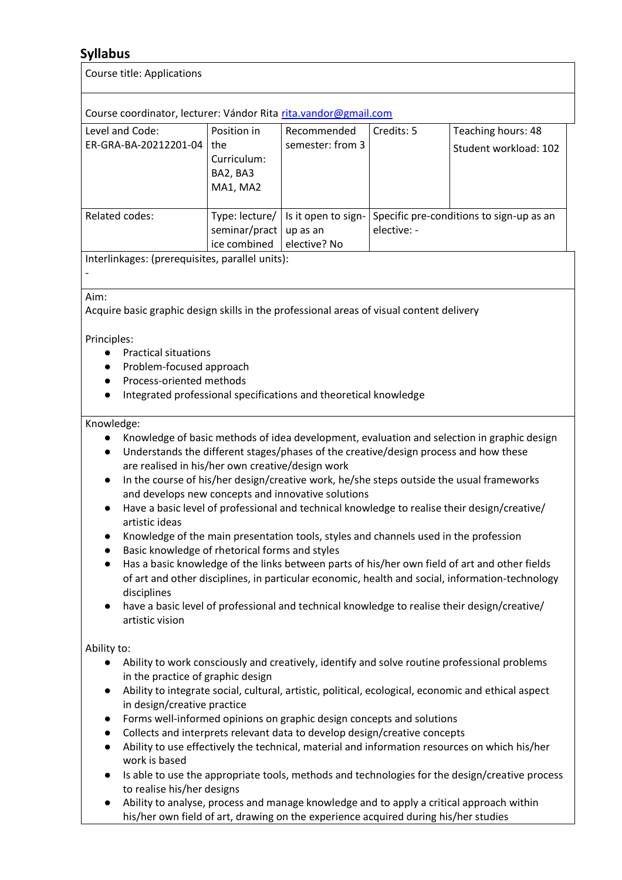## **Syllabus**

| <b>Course title: Applications</b>                                                                                                                                                                                        |                                                           |                                                                                                                                                                                                                                           |                                                         |                                                                                                                                                                                                                                                                                                                                                                                                                                                                                                                                                                                            |
|--------------------------------------------------------------------------------------------------------------------------------------------------------------------------------------------------------------------------|-----------------------------------------------------------|-------------------------------------------------------------------------------------------------------------------------------------------------------------------------------------------------------------------------------------------|---------------------------------------------------------|--------------------------------------------------------------------------------------------------------------------------------------------------------------------------------------------------------------------------------------------------------------------------------------------------------------------------------------------------------------------------------------------------------------------------------------------------------------------------------------------------------------------------------------------------------------------------------------------|
| Course coordinator, lecturer: Vándor Rita rita.vandor@gmail.com                                                                                                                                                          |                                                           |                                                                                                                                                                                                                                           |                                                         |                                                                                                                                                                                                                                                                                                                                                                                                                                                                                                                                                                                            |
| Level and Code:<br>ER-GRA-BA-20212201-04                                                                                                                                                                                 | Position in<br>the<br>Curriculum:<br>BA2, BA3<br>MA1, MA2 | Recommended<br>semester: from 3                                                                                                                                                                                                           | Credits: 5                                              | Teaching hours: 48<br>Student workload: 102                                                                                                                                                                                                                                                                                                                                                                                                                                                                                                                                                |
| Related codes:                                                                                                                                                                                                           | Type: lecture/<br>seminar/pract<br>ice combined           | Is it open to sign-<br>up as an<br>elective? No                                                                                                                                                                                           | Specific pre-conditions to sign-up as an<br>elective: - |                                                                                                                                                                                                                                                                                                                                                                                                                                                                                                                                                                                            |
| Interlinkages: (prerequisites, parallel units):                                                                                                                                                                          |                                                           |                                                                                                                                                                                                                                           |                                                         |                                                                                                                                                                                                                                                                                                                                                                                                                                                                                                                                                                                            |
| Aim:<br>Acquire basic graphic design skills in the professional areas of visual content delivery<br>Principles:<br><b>Practical situations</b><br>Problem-focused approach<br>Process-oriented methods                   |                                                           | Integrated professional specifications and theoretical knowledge                                                                                                                                                                          |                                                         |                                                                                                                                                                                                                                                                                                                                                                                                                                                                                                                                                                                            |
| Knowledge:<br>are realised in his/her own creative/design work<br>$\bullet$<br>artistic ideas<br>$\bullet$<br>Basic knowledge of rhetorical forms and styles<br>$\bullet$<br>disciplines<br>$\bullet$<br>artistic vision |                                                           | Understands the different stages/phases of the creative/design process and how these<br>and develops new concepts and innovative solutions<br>Knowledge of the main presentation tools, styles and channels used in the profession        |                                                         | Knowledge of basic methods of idea development, evaluation and selection in graphic design<br>In the course of his/her design/creative work, he/she steps outside the usual frameworks<br>Have a basic level of professional and technical knowledge to realise their design/creative/<br>Has a basic knowledge of the links between parts of his/her own field of art and other fields<br>of art and other disciplines, in particular economic, health and social, information-technology<br>have a basic level of professional and technical knowledge to realise their design/creative/ |
| Ability to:<br>in the practice of graphic design<br>$\bullet$<br>in design/creative practice<br>$\bullet$<br>$\bullet$<br>$\bullet$<br>work is based<br>$\bullet$<br>to realise his/her designs<br>$\bullet$             |                                                           | Forms well-informed opinions on graphic design concepts and solutions<br>Collects and interprets relevant data to develop design/creative concepts<br>his/her own field of art, drawing on the experience acquired during his/her studies |                                                         | Ability to work consciously and creatively, identify and solve routine professional problems<br>Ability to integrate social, cultural, artistic, political, ecological, economic and ethical aspect<br>Ability to use effectively the technical, material and information resources on which his/her<br>Is able to use the appropriate tools, methods and technologies for the design/creative process<br>Ability to analyse, process and manage knowledge and to apply a critical approach within                                                                                         |